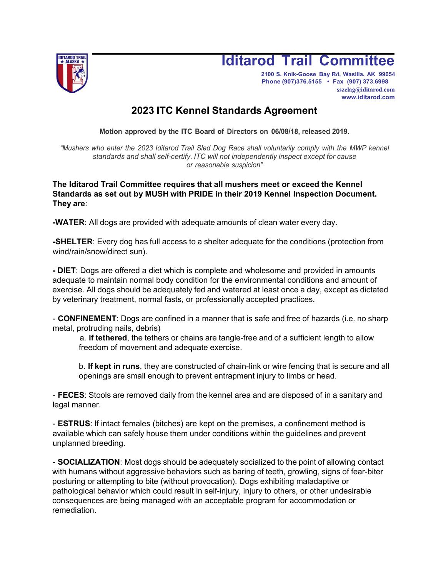

## **Iditarod Trail Committee**

**2100 S. Knik-Goose Bay Rd, Wasilla, AK 99654 Phone (907)376.5155 • Fax (907) 373.6998 [sszelag@iditarod.com](http://www.iditarod.com/) [www.iditarod.com](http://www.iditarod.com/)**

## **2023 ITC Kennel Standards Agreement**

**Motion approved by the ITC Board of Directors on 06/08/18, released 2019.**

*"Mushers who enter the 2023 Iditarod Trail Sled Dog Race shall voluntarily comply with the MWP kennel standards and shall self-certify. ITC will not independently inspect except for cause or reasonable suspicion"*

**The Iditarod Trail Committee requires that all mushers meet or exceed the Kennel Standards as set out by MUSH with PRIDE in their 2019 Kennel Inspection Document. They are**:

**-WATER**: All dogs are provided with adequate amounts of clean water every day.

**-SHELTER**: Every dog has full access to a shelter adequate for the conditions (protection from wind/rain/snow/direct sun).

**- DIET**: Dogs are offered a diet which is complete and wholesome and provided in amounts adequate to maintain normal body condition for the environmental conditions and amount of exercise. All dogs should be adequately fed and watered at least once a day, except as dictated by veterinary treatment, normal fasts, or professionally accepted practices.

- **CONFINEMENT**: Dogs are confined in a manner that is safe and free of hazards (i.e. no sharp metal, protruding nails, debris)

a. **lf tethered**, the tethers or chains are tangle-free and of a sufficient length to allow freedom of movement and adequate exercise.

b. **lf kept in runs**, they are constructed of chain-link or wire fencing that is secure and all openings are small enough to prevent entrapment injury to limbs or head.

- **FECES**: Stools are removed daily from the kennel area and are disposed of in a sanitary and legal manner.

- **ESTRUS**: lf intact females (bitches) are kept on the premises, a confinement method is available which can safely house them under conditions within the guidelines and prevent unplanned breeding.

- **SOCIALIZATION**: Most dogs should be adequately socialized to the point of allowing contact with humans without aggressive behaviors such as baring of teeth, growling, signs of fear-biter posturing or attempting to bite (without provocation). Dogs exhibiting maladaptive or pathological behavior which could result in self-injury, injury to others, or other undesirable consequences are being managed with an acceptable program for accommodation or remediation.